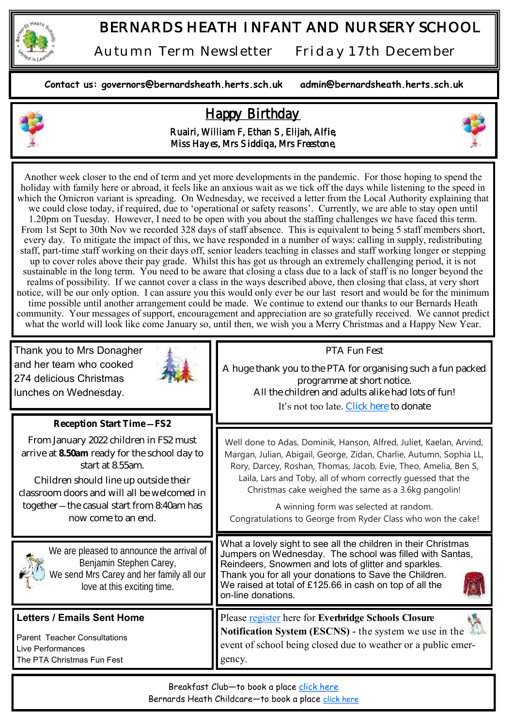

*Autumn Term Newsletter Friday 17th December* 

**Contact us: governors@bernardsheath.herts.sch.uk admin@bernardsheath.herts.sch.uk**

## Happy Birthday



Ruairi, William F, Ethan S, Elijah, Alfie, Miss Hayes, Mrs Siddiqa, Mrs Freestone,



Another week closer to the end of term and yet more developments in the pandemic. For those hoping to spend the holiday with family here or abroad, it feels like an anxious wait as we tick off the days while listening to the speed in which the Omicron variant is spreading. On Wednesday, we received a letter from the Local Authority explaining that we could close today, if required, due to 'operational or safety reasons'. Currently, we are able to stay open until 1.20pm on Tuesday. However, I need to be open with you about the staffing challenges we have faced this term. From 1st Sept to 30th Nov we recorded 328 days of staff absence. This is equivalent to being 5 staff members short, every day. To mitigate the impact of this, we have responded in a number of ways: calling in supply, redistributing staff, part-time staff working on their days off, senior leaders teaching in classes and staff working longer or stepping up to cover roles above their pay grade. Whilst this has got us through an extremely challenging period, it is not sustainable in the long term. You need to be aware that closing a class due to a lack of staff is no longer beyond the realms of possibility. If we cannot cover a class in the ways described above, then closing that class, at very short notice, will be our only option. I can assure you this would only ever be our last resort and would be for the minimum time possible until another arrangement could be made. We continue to extend our thanks to our Bernards Heath community. Your messages of support, encouragement and appreciation are so gratefully received. We cannot predict what the world will look like come January so, until then, we wish you a Merry Christmas and a Happy New Year.

| Thank you to Mrs Donagher<br>and her team who cooked<br>274 delicious Christmas<br>lunches on Wednesday.                                                                                                                                                                                             | PTA Fun Fest<br>A huge thank you to the PTA for organising such a fun packed<br>programme at short notice.<br>All the children and adults alike had lots of fun!<br>It's not too late. Click here to donate                                                                                                                                                                                                                                     |  |
|------------------------------------------------------------------------------------------------------------------------------------------------------------------------------------------------------------------------------------------------------------------------------------------------------|-------------------------------------------------------------------------------------------------------------------------------------------------------------------------------------------------------------------------------------------------------------------------------------------------------------------------------------------------------------------------------------------------------------------------------------------------|--|
| Reception Start Time-FS2<br>From January 2022 children in FS2 must<br>arrive at 8.50am ready for the school day to<br>start at 8.55am.<br>Children should line up outside their<br>classroom doors and will all be welcomed in<br>together - the casual start from 8:40am has<br>now come to an end. | Well done to Adas, Dominik, Hanson, Alfred, Juliet, Kaelan, Arvind,<br>Margan, Julian, Abigail, George, Zidan, Charlie, Autumn, Sophia LL,<br>Rory, Darcey, Roshan, Thomas, Jacob, Evie, Theo, Amelia, Ben S,<br>Laila, Lars and Toby, all of whom correctly guessed that the<br>Christmas cake weighed the same as a 3.6kg pangolin!<br>A winning form was selected at random.<br>Congratulations to George from Ryder Class who won the cake! |  |
| We are pleased to announce the arrival of<br>Benjamin Stephen Carey,<br>We send Mrs Carey and her family all our<br>love at this exciting time.                                                                                                                                                      | What a lovely sight to see all the children in their Christmas<br>Jumpers on Wednesday. The school was filled with Santas,<br>Reindeers, Snowmen and lots of glitter and sparkles.<br>Thank you for all your donations to Save the Children.<br>We raised at total of £125.66 in cash on top of all the<br>on-line donations.                                                                                                                   |  |
| <b>Letters / Emails Sent Home</b><br><b>Parent Teacher Consultations</b><br>Live Performances<br>The PTA Christmas Fun Fest                                                                                                                                                                          | Please register here for Everbridge Schools Closure<br><b>Notification System (ESCNS)</b> - the system we use in the<br>event of school being closed due to weather or a public emer-<br>gency.                                                                                                                                                                                                                                                 |  |
| Breakfast Club-to book a place click here                                                                                                                                                                                                                                                            |                                                                                                                                                                                                                                                                                                                                                                                                                                                 |  |

Bernards Heath Childcare—to book a place [click here](https://bernardsheath.herts.sch.uk/cse-after-school-club/)